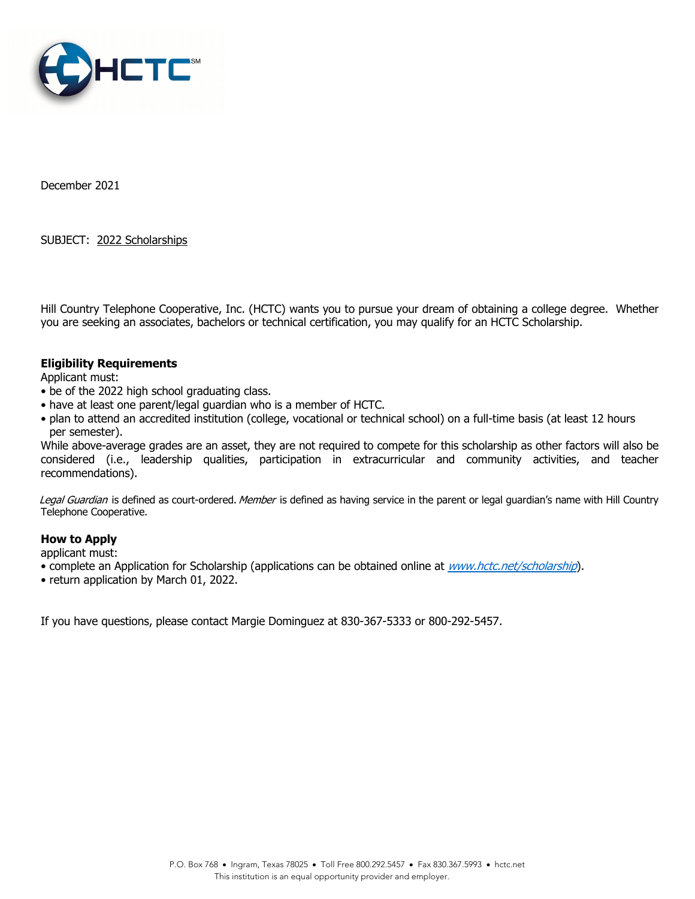

December 2021

SUBJECT: 2022 Scholarships

Hill Country Telephone Cooperative, Inc. (HCTC) wants you to pursue your dream of obtaining a college degree. Whether you are seeking an associates, bachelors or technical certification, you may qualify for an HCTC Scholarship.

## **Eligibility Requirements**

Applicant must:

- be of the 2022 high school graduating class.
- have at least one parent/legal guardian who is a member of HCTC.
- plan to attend an accredited institution (college, vocational or technical school) on a full-time basis (at least 12 hours per semester).

While above-average grades are an asset, they are not required to compete for this scholarship as other factors will also be considered (i.e., leadership qualities, participation in extracurricular and community activities, and teacher recommendations).

Legal Guardian is defined as court-ordered. Member is defined as having service in the parent or legal guardian's name with Hill Country Telephone Cooperative.

## **How to Apply**

applicant must:

- complete an Application for Scholarship (applications can be obtained online at *www.hctc.net/scholarship*).
- return application by March 01, 2022.

If you have questions, please contact Margie Dominguez at 830-367-5333 or 800-292-5457.